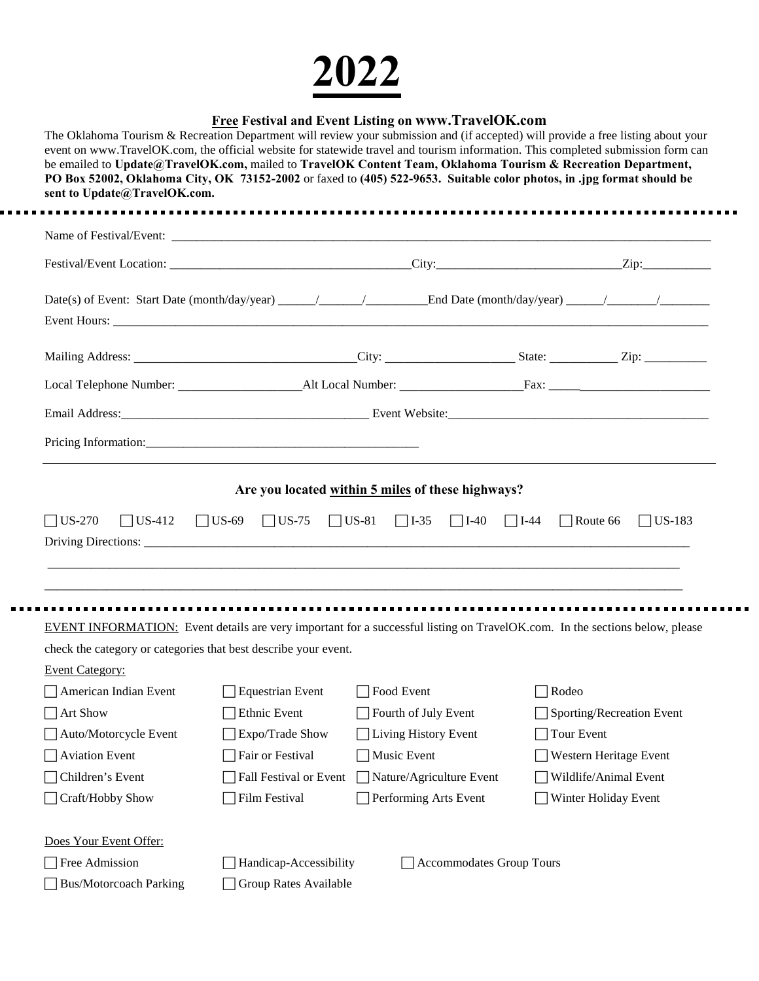## **2022**

. . . . .

## **Free Festival and Event Listing on www.TravelOK.com**

| The Oklahoma Tourism & Recreation Department will review your submission and (if accepted) will provide a free listing about your<br>event on www.TravelOK.com, the official website for statewide travel and tourism information. This completed submission form can<br>be emailed to Update@TravelOK.com, mailed to TravelOK Content Team, Oklahoma Tourism & Recreation Department,<br>PO Box 52002, Oklahoma City, OK 73152-2002 or faxed to (405) 522-9653. Suitable color photos, in .jpg format should be<br>sent to Update@TravelOK.com. |                         |                                 |            |                           |
|--------------------------------------------------------------------------------------------------------------------------------------------------------------------------------------------------------------------------------------------------------------------------------------------------------------------------------------------------------------------------------------------------------------------------------------------------------------------------------------------------------------------------------------------------|-------------------------|---------------------------------|------------|---------------------------|
|                                                                                                                                                                                                                                                                                                                                                                                                                                                                                                                                                  |                         |                                 |            |                           |
|                                                                                                                                                                                                                                                                                                                                                                                                                                                                                                                                                  |                         |                                 |            |                           |
|                                                                                                                                                                                                                                                                                                                                                                                                                                                                                                                                                  |                         |                                 |            |                           |
|                                                                                                                                                                                                                                                                                                                                                                                                                                                                                                                                                  |                         |                                 |            |                           |
|                                                                                                                                                                                                                                                                                                                                                                                                                                                                                                                                                  |                         |                                 |            |                           |
|                                                                                                                                                                                                                                                                                                                                                                                                                                                                                                                                                  |                         |                                 |            |                           |
|                                                                                                                                                                                                                                                                                                                                                                                                                                                                                                                                                  |                         |                                 |            |                           |
|                                                                                                                                                                                                                                                                                                                                                                                                                                                                                                                                                  |                         |                                 |            |                           |
|                                                                                                                                                                                                                                                                                                                                                                                                                                                                                                                                                  |                         |                                 |            |                           |
| EVENT INFORMATION: Event details are very important for a successful listing on TravelOK.com. In the sections below, please<br>check the category or categories that best describe your event.<br><b>Event Category:</b>                                                                                                                                                                                                                                                                                                                         |                         |                                 |            |                           |
| American Indian Event                                                                                                                                                                                                                                                                                                                                                                                                                                                                                                                            | <b>Equestrian Event</b> | Food Event                      | Rodeo      |                           |
| Art Show                                                                                                                                                                                                                                                                                                                                                                                                                                                                                                                                         | Ethnic Event            | Fourth of July Event            |            | Sporting/Recreation Event |
| Auto/Motorcycle Event                                                                                                                                                                                                                                                                                                                                                                                                                                                                                                                            | Expo/Trade Show         | Living History Event            | Tour Event |                           |
| <b>Aviation Event</b>                                                                                                                                                                                                                                                                                                                                                                                                                                                                                                                            | Fair or Festival        | Music Event                     |            | Western Heritage Event    |
| Children's Event                                                                                                                                                                                                                                                                                                                                                                                                                                                                                                                                 | Fall Festival or Event  | Nature/Agriculture Event        |            | Wildlife/Animal Event     |
| Craft/Hobby Show                                                                                                                                                                                                                                                                                                                                                                                                                                                                                                                                 | Film Festival           | Performing Arts Event           |            | Winter Holiday Event      |
| Does Your Event Offer:                                                                                                                                                                                                                                                                                                                                                                                                                                                                                                                           |                         |                                 |            |                           |
| Free Admission                                                                                                                                                                                                                                                                                                                                                                                                                                                                                                                                   | Handicap-Accessibility  | <b>Accommodates Group Tours</b> |            |                           |
| <b>Bus/Motorcoach Parking</b>                                                                                                                                                                                                                                                                                                                                                                                                                                                                                                                    | Group Rates Available   |                                 |            |                           |

 $\blacksquare$